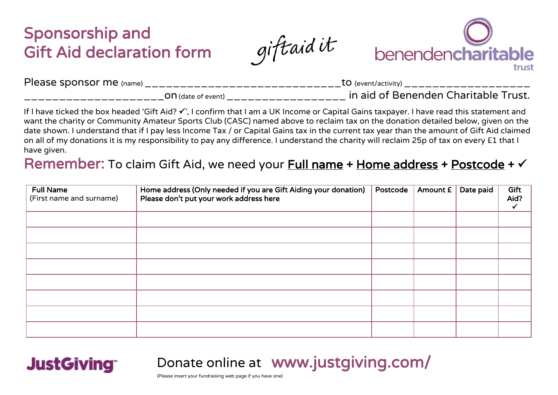## Sponsorship and Gift Aid declaration form

giftaid it



| $\overline{\phantom{a}}$ | <b>J</b> (event/activity             |
|--------------------------|--------------------------------------|
| Please sponsor me        | ____                                 |
| ' (name)                 | ————                                 |
| <b>H</b> (date of event) | in aid of Benenden Charitable Trust. |

If I have ticked the box headed 'Gift Aid?  $\checkmark$ ', I confirm that I am a UK Income or Capital Gains taxpayer. I have read this statement and want the charity or Community Amateur Sports Club (CASC) named above to reclaim tax on the donation detailed below, given on the date shown. I understand that if I pay less Income Tax / or Capital Gains tax in the current tax year than the amount of Gift Aid claimed on all of my donations it is my responsibility to pay any difference. I understand the charity will reclaim 25p of tax on every £1 that I have given.

## Remember: To claim Gift Aid, we need your **Full name + Home address + Postcode + V**

| <b>Full Name</b><br>(First name and surname) | Home address (Only needed if you are Gift Aiding your donation)<br>Please don't put your work address here | Postcode | Amount £ | Date paid | Gift<br>Aid? |
|----------------------------------------------|------------------------------------------------------------------------------------------------------------|----------|----------|-----------|--------------|
|                                              |                                                                                                            |          |          |           |              |
|                                              |                                                                                                            |          |          |           |              |
|                                              |                                                                                                            |          |          |           |              |
|                                              |                                                                                                            |          |          |           |              |
|                                              |                                                                                                            |          |          |           |              |
|                                              |                                                                                                            |          |          |           |              |
|                                              |                                                                                                            |          |          |           |              |
|                                              |                                                                                                            |          |          |           |              |

Donate online at www.justgiving.com/

(Please insert your fundraising web page if you have one)